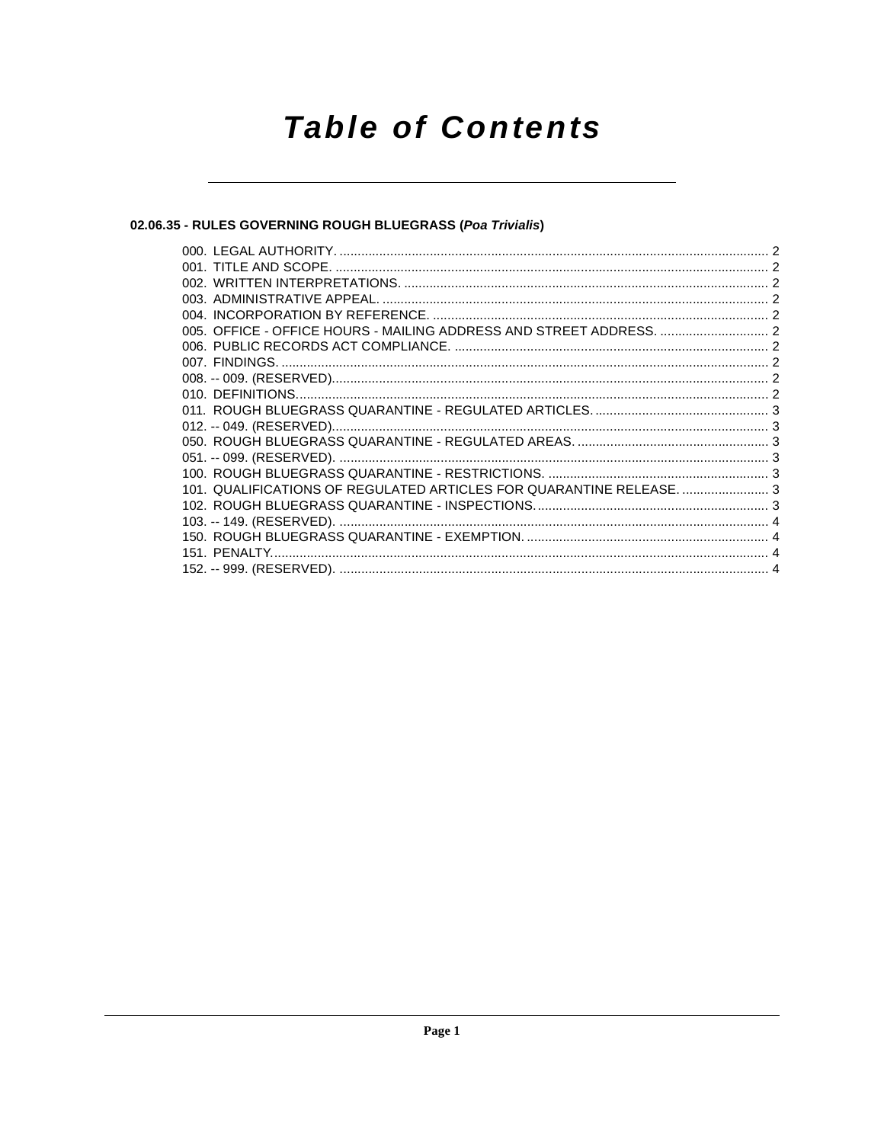# **Table of Contents**

# 02.06.35 - RULES GOVERNING ROUGH BLUEGRASS (Poa Trivialis)

| 101. QUALIFICATIONS OF REGULATED ARTICLES FOR QUARANTINE RELEASE 3 |  |
|--------------------------------------------------------------------|--|
|                                                                    |  |
|                                                                    |  |
|                                                                    |  |
|                                                                    |  |
|                                                                    |  |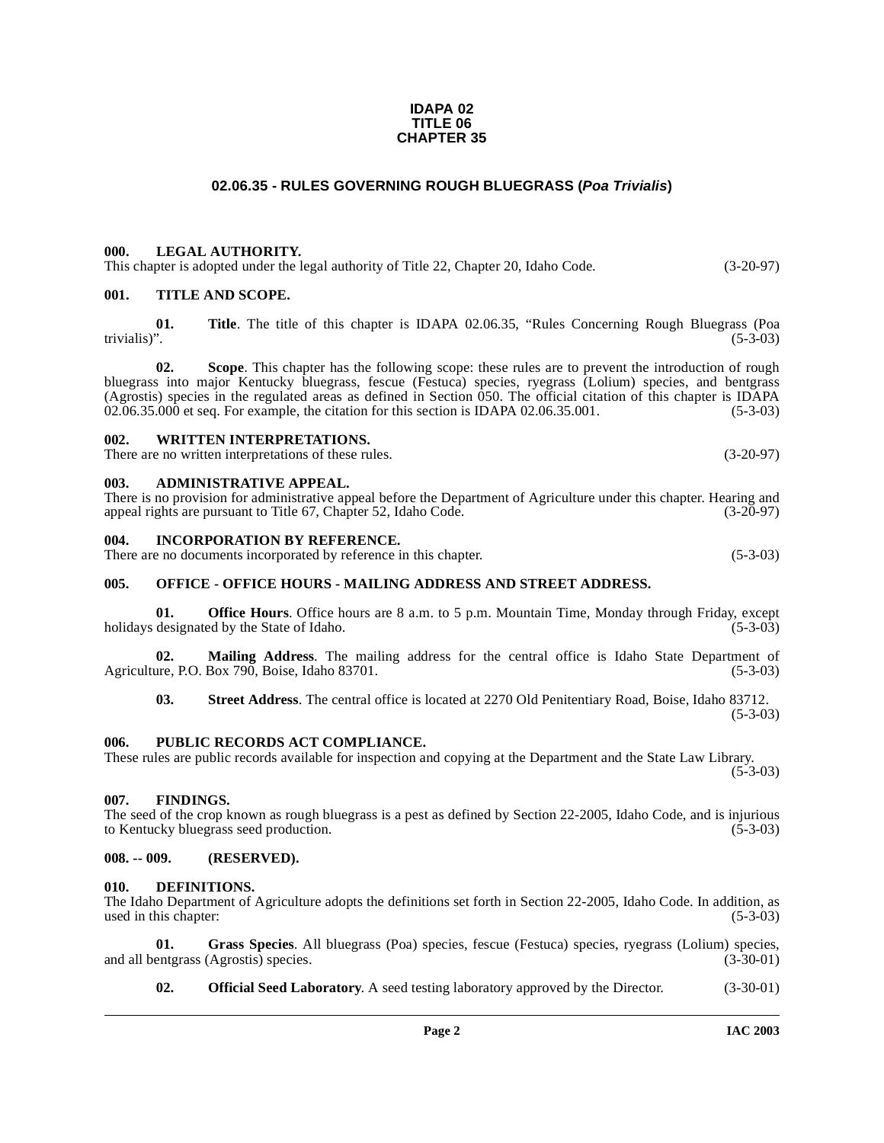#### **IDAPA 02 TITLE 06 CHAPTER 35**

# **02.06.35 - RULES GOVERNING ROUGH BLUEGRASS (Poa Trivialis)**

# <span id="page-1-1"></span><span id="page-1-0"></span>**000. LEGAL AUTHORITY.**

This chapter is adopted under the legal authority of Title 22, Chapter 20, Idaho Code. (3-20-97)

### <span id="page-1-2"></span>**001. TITLE AND SCOPE.**

**01.** Title. The title of this chapter is IDAPA 02.06.35, "Rules Concerning Rough Bluegrass (Poa trivialis)". trivialis)". (5-3-03)

**02. Scope**. This chapter has the following scope: these rules are to prevent the introduction of rough bluegrass into major Kentucky bluegrass, fescue (Festuca) species, ryegrass (Lolium) species, and bentgrass (Agrostis) species in the regulated areas as defined in Section  $\overline{050}$ . The official citation of this chapter is IDAPA  $02.06.35.000$  et seq. For example, the citation for this section is IDAPA  $02.06.35.001$ . (5-3-03  $02.06.35.000$  et seq. For example, the citation for this section is IDAPA  $02.06.35.001$ .

#### <span id="page-1-3"></span>**002. WRITTEN INTERPRETATIONS.**

There are no written interpretations of these rules. (3-20-97)

#### <span id="page-1-4"></span>**003. ADMINISTRATIVE APPEAL.**

There is no provision for administrative appeal before the Department of Agriculture under this chapter. Hearing and appeal rights are pursuant to Title 67, Chapter 52, Idaho Code. (3-20-97) appeal rights are pursuant to Title 67, Chapter 52, Idaho Code.

#### <span id="page-1-5"></span>**004. INCORPORATION BY REFERENCE.**

There are no documents incorporated by reference in this chapter. (5-3-03)

# <span id="page-1-6"></span>**005. OFFICE - OFFICE HOURS - MAILING ADDRESS AND STREET ADDRESS.**

**01. Office Hours**. Office hours are 8 a.m. to 5 p.m. Mountain Time, Monday through Friday, except designated by the State of Idaho. (5-3-03) holidays designated by the State of Idaho.

**02.** Mailing Address. The mailing address for the central office is Idaho State Department of are P.O. Box 790. Boise. Idaho 83701. Agriculture, P.O. Box 790, Boise, Idaho 83701.

**03. Street Address**. The central office is located at 2270 Old Penitentiary Road, Boise, Idaho 83712. (5-3-03)

#### <span id="page-1-7"></span>**006. PUBLIC RECORDS ACT COMPLIANCE.**

These rules are public records available for inspection and copying at the Department and the State Law Library.

# $(5-3-03)$

#### <span id="page-1-8"></span>**007. FINDINGS.**

The seed of the crop known as rough bluegrass is a pest as defined by Section 22-2005, Idaho Code, and is injurious to Kentucky bluegrass seed production. (5-3-03)

# <span id="page-1-9"></span>**008. -- 009. (RESERVED).**

#### <span id="page-1-11"></span><span id="page-1-10"></span>**010. DEFINITIONS.**

The Idaho Department of Agriculture adopts the definitions set forth in Section 22-2005, Idaho Code. In addition, as used in this chapter:

**01. Grass Species**. All bluegrass (Poa) species, fescue (Festuca) species, ryegrass (Lolium) species, and all bentgrass (Agrostis) species.

<span id="page-1-13"></span><span id="page-1-12"></span>**02. Official Seed Laboratory**. A seed testing laboratory approved by the Director. (3-30-01)

**Page 2 IAC 2003**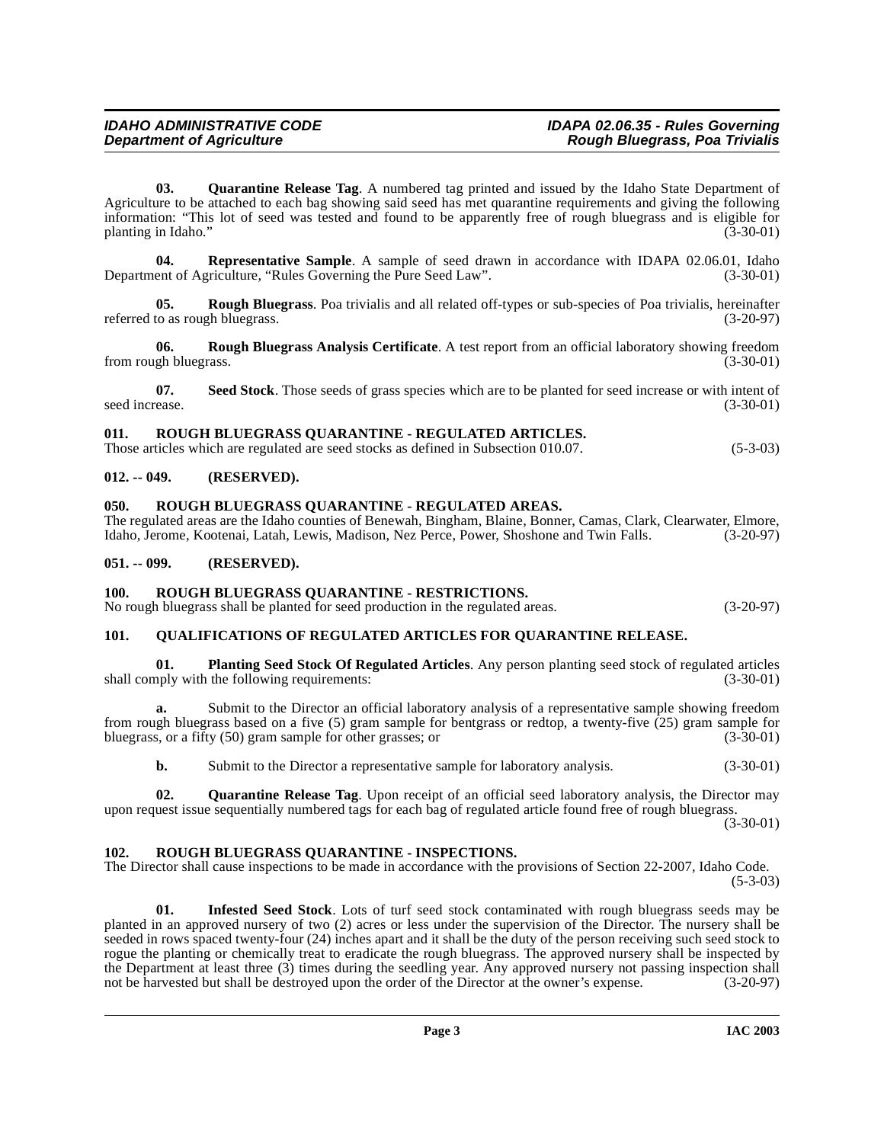<span id="page-2-10"></span>**03. Quarantine Release Tag**. A numbered tag printed and issued by the Idaho State Department of Agriculture to be attached to each bag showing said seed has met quarantine requirements and giving the following information: "This lot of seed was tested and found to be apparently free of rough bluegrass and is eligible for planting in Idaho." (3-30-01)

<span id="page-2-12"></span>**04. Representative Sample**[. A sample of seed drawn in accordance with IDAPA 02.06.01, Idaho](http://www2.state.id.us/adm/adminrules/rules/idapa02/0601.pdf) ent of Agriculture, "Rules Governing the Pure Seed Law". (3-30-01) Department of Agriculture, "Rules Governing the Pure Seed Law".

<span id="page-2-13"></span>**05. Rough Bluegrass**. Poa trivialis and all related off-types or sub-species of Poa trivialis, hereinafter referred to as rough bluegrass. (3-20-97)

<span id="page-2-14"></span>**06. Rough Bluegrass Analysis Certificate**. A test report from an official laboratory showing freedom from rough bluegrass.

**07.** Seed Stock. Those seeds of grass species which are to be planted for seed increase or with intent of ease. (3-30-01) seed increase.

# <span id="page-2-17"></span><span id="page-2-0"></span>**011. ROUGH BLUEGRASS QUARANTINE - REGULATED ARTICLES.**

Those articles which are regulated are seed stocks as defined in Subsection 010.07. (5-3-03)

# <span id="page-2-1"></span>**012. -- 049. (RESERVED).**

#### <span id="page-2-16"></span><span id="page-2-2"></span>**050. ROUGH BLUEGRASS QUARANTINE - REGULATED AREAS.**

The regulated areas are the Idaho counties of Benewah, Bingham, Blaine, Bonner, Camas, Clark, Clearwater, Elmore, Idaho, Jerome, Kootenai, Latah, Lewis, Madison, Nez Perce, Power, Shoshone and Twin Falls. (3-20-97) Idaho, Jerome, Kootenai, Latah, Lewis, Madison, Nez Perce, Power, Shoshone and Twin Falls.

# <span id="page-2-3"></span>**051. -- 099. (RESERVED).**

# <span id="page-2-18"></span><span id="page-2-4"></span>**100. ROUGH BLUEGRASS QUARANTINE - RESTRICTIONS.**

No rough bluegrass shall be planted for seed production in the regulated areas. (3-20-97)

# <span id="page-2-9"></span><span id="page-2-5"></span>**101. QUALIFICATIONS OF REGULATED ARTICLES FOR QUARANTINE RELEASE.**

<span id="page-2-8"></span>**01. Planting Seed Stock Of Regulated Articles**. Any person planting seed stock of regulated articles shall comply with the following requirements:

**a.** Submit to the Director an official laboratory analysis of a representative sample showing freedom from rough bluegrass based on a five (5) gram sample for bentgrass or redtop, a twenty-five  $(25)$  gram sample for bluegrass, or a fifty (50) gram sample for other grasses; or  $(3-30-01)$ bluegrass, or a fifty  $(50)$  gram sample for other grasses; or

<span id="page-2-11"></span>**b.** Submit to the Director a representative sample for laboratory analysis.  $(3-30-01)$ 

**02. Quarantine Release Tag**. Upon receipt of an official seed laboratory analysis, the Director may upon request issue sequentially numbered tags for each bag of regulated article found free of rough bluegrass.

(3-30-01)

#### <span id="page-2-15"></span><span id="page-2-6"></span>**102. ROUGH BLUEGRASS QUARANTINE - INSPECTIONS.**

The Director shall cause inspections to be made in accordance with the provisions of Section 22-2007, Idaho Code. (5-3-03)

<span id="page-2-7"></span>**01. Infested Seed Stock**. Lots of turf seed stock contaminated with rough bluegrass seeds may be planted in an approved nursery of two (2) acres or less under the supervision of the Director. The nursery shall be seeded in rows spaced twenty-four (24) inches apart and it shall be the duty of the person receiving such seed stock to rogue the planting or chemically treat to eradicate the rough bluegrass. The approved nursery shall be inspected by the Department at least three (3) times during the seedling year. Any approved nursery not passing inspection shall not be harvested but shall be destroyed upon the order of the Director at the owner's expense. (3-20-97)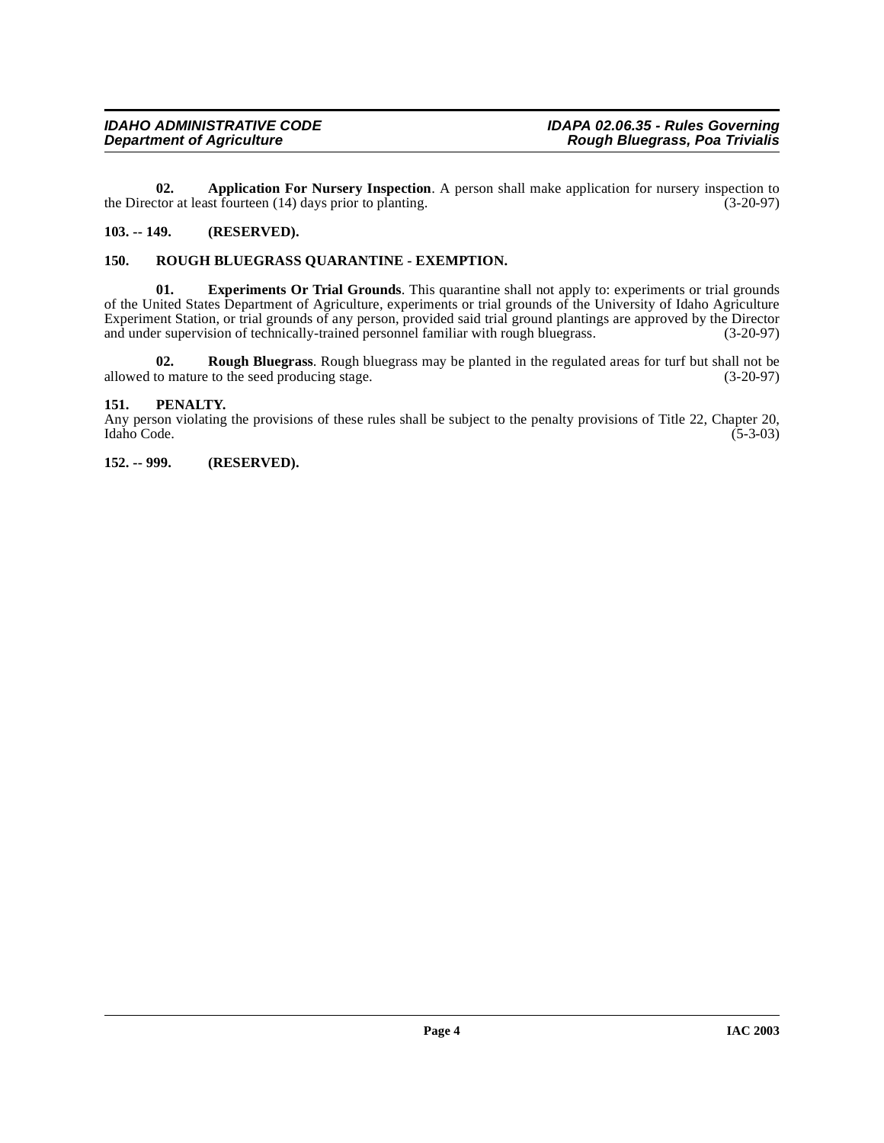<span id="page-3-4"></span>**02. Application For Nursery Inspection**. A person shall make application for nursery inspection to tor at least fourteen (14) days prior to planting. (3-20-97) the Director at least fourteen  $(14)$  days prior to planting.

# <span id="page-3-0"></span>**103. -- 149. (RESERVED).**

# <span id="page-3-6"></span><span id="page-3-1"></span>**150. ROUGH BLUEGRASS QUARANTINE - EXEMPTION.**

<span id="page-3-5"></span>**01. Experiments Or Trial Grounds**. This quarantine shall not apply to: experiments or trial grounds of the United States Department of Agriculture, experiments or trial grounds of the University of Idaho Agriculture Experiment Station, or trial grounds of any person, provided said trial ground plantings are approved by the Director and under supervision of technically-trained personnel familiar with rough bluegrass. (3-20-97) and under supervision of technically-trained personnel familiar with rough bluegrass.

<span id="page-3-7"></span>**02. Rough Bluegrass**. Rough bluegrass may be planted in the regulated areas for turf but shall not be allowed to mature to the seed producing stage. (3-20-97)

#### <span id="page-3-2"></span>**151. PENALTY.**

Any person violating the provisions of these rules shall be subject to the penalty provisions of Title 22, Chapter 20, Idaho Code. (5-3-03)

### <span id="page-3-3"></span>**152. -- 999. (RESERVED).**